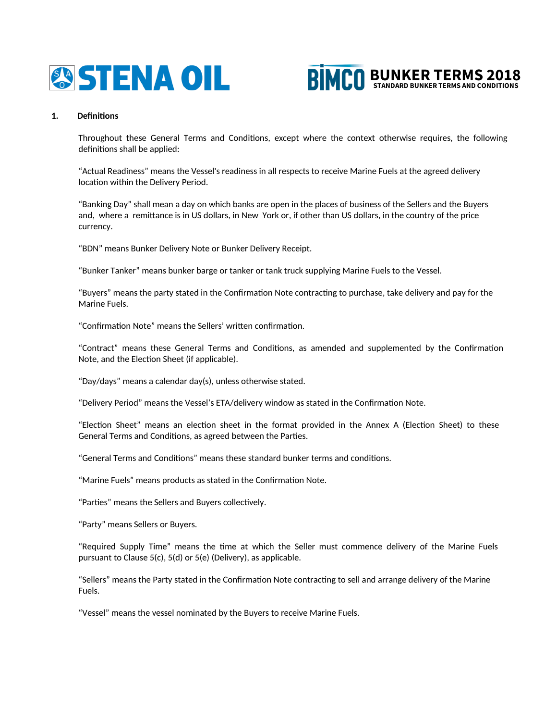



#### **1. Definitions**

Throughout these General Terms and Conditions, except where the context otherwise requires, the following definitions shall be applied:

"Actual Readiness" means the Vessel's readiness in all respects to receive Marine Fuels at the agreed delivery location within the Delivery Period.

"Banking Day" shall mean a day on which banks are open in the places of business of the Sellers and the Buyers and, where a remittance is in US dollars, in New York or, if other than US dollars, in the country of the price currency.

"BDN" means Bunker Delivery Note or Bunker Delivery Receipt.

"Bunker Tanker" means bunker barge or tanker or tank truck supplying Marine Fuels to the Vessel.

"Buyers" means the party stated in the Confirmation Note contracting to purchase, take delivery and pay for the Marine Fuels.

"Confirmation Note" means the Sellers' written confirmation.

"Contract" means these General Terms and Conditions, as amended and supplemented by the Confirmation Note, and the Election Sheet (if applicable).

"Day/days" means a calendar day(s), unless otherwise stated.

"Delivery Period" means the Vessel's ETA/delivery window as stated in the Confirmation Note.

"Election Sheet" means an election sheet in the format provided in the Annex A (Election Sheet) to these General Terms and Conditions, as agreed between the Parties.

"General Terms and Conditions" means these standard bunker terms and conditions.

"Marine Fuels" means products as stated in the Confirmation Note.

"Parties" means the Sellers and Buyers collectively.

"Party" means Sellers or Buyers.

"Required Supply Time" means the time at which the Seller must commence delivery of the Marine Fuels pursuant to Clause 5(c), 5(d) or 5(e) (Delivery), as applicable.

"Sellers" means the Party stated in the Confirmation Note contracting to sell and arrange delivery of the Marine Fuels.

"Vessel" means the vessel nominated by the Buyers to receive Marine Fuels.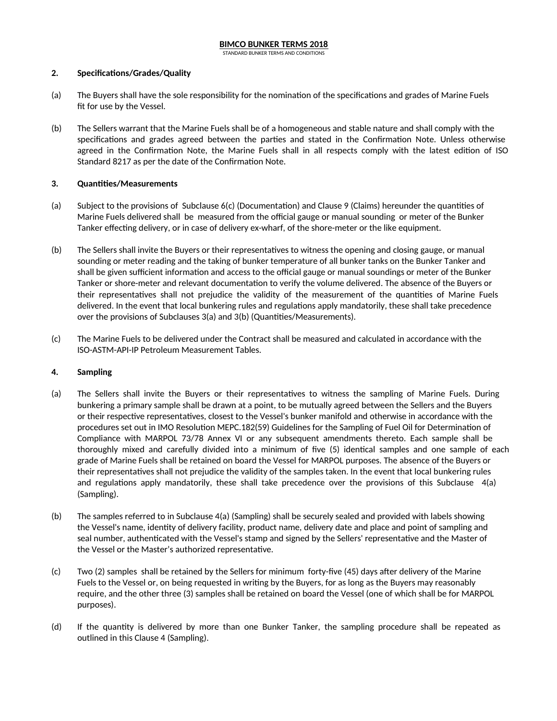STANDARD BUNKER TERMS AND CONDITIONS

# **2. Specifications/Grades/Quality**

- (a) The Buyers shall have the sole responsibility for the nomination of the specifications and grades of Marine Fuels fit for use by the Vessel.
- (b) The Sellers warrant that the Marine Fuels shall be of a homogeneous and stable nature and shall comply with the specifications and grades agreed between the parties and stated in the Confirmation Note. Unless otherwise agreed in the Confirmation Note, the Marine Fuels shall in all respects comply with the latest edition of ISO Standard 8217 as per the date of the Confirmation Note.

# **3. Quantities/Measurements**

- (a) Subject to the provisions of Subclause 6(c) (Documentation) and Clause 9 (Claims) hereunder the quantities of Marine Fuels delivered shall be measured from the official gauge or manual sounding or meter of the Bunker Tanker effecting delivery, or in case of delivery ex-wharf, of the shore-meter or the like equipment.
- (b) The Sellers shall invite the Buyers or their representatives to witness the opening and closing gauge, or manual sounding or meter reading and the taking of bunker temperature of all bunker tanks on the Bunker Tanker and shall be given sufficient information and access to the official gauge or manual soundings or meter of the Bunker Tanker or shore-meter and relevant documentation to verify the volume delivered. The absence of the Buyers or their representatives shall not prejudice the validity of the measurement of the quantities of Marine Fuels delivered. In the event that local bunkering rules and regulations apply mandatorily, these shall take precedence over the provisions of Subclauses 3(a) and 3(b) (Quantities/Measurements).
- (c) The Marine Fuels to be delivered under the Contract shall be measured and calculated in accordance with the ISO-ASTM-API-IP Petroleum Measurement Tables.

# **4. Sampling**

- (a) The Sellers shall invite the Buyers or their representatives to witness the sampling of Marine Fuels. During bunkering a primary sample shall be drawn at a point, to be mutually agreed between the Sellers and the Buyers or their respective representatives, closest to the Vessel's bunker manifold and otherwise in accordance with the procedures set out in IMO Resolution MEPC.182(59) Guidelines for the Sampling of Fuel Oil for Determination of Compliance with MARPOL 73/78 Annex VI or any subsequent amendments thereto. Each sample shall be thoroughly mixed and carefully divided into a minimum of five (5) identical samples and one sample of each grade of Marine Fuels shall be retained on board the Vessel for MARPOL purposes. The absence of the Buyers or their representatives shall not prejudice the validity of the samples taken. In the event that local bunkering rules and regulations apply mandatorily, these shall take precedence over the provisions of this Subclause 4(a) (Sampling).
- (b) The samples referred to in Subclause 4(a) (Sampling) shall be securely sealed and provided with labels showing the Vessel's name, identity of delivery facility, product name, delivery date and place and point of sampling and seal number, authenticated with the Vessel's stamp and signed by the Sellers' representative and the Master of the Vessel or the Master's authorized representative.
- (c) Two (2) samples shall be retained by the Sellers for minimum forty-five (45) days after delivery of the Marine Fuels to the Vessel or, on being requested in writing by the Buyers, for as long as the Buyers may reasonably require, and the other three (3) samples shall be retained on board the Vessel (one of which shall be for MARPOL purposes).
- (d) If the quantity is delivered by more than one Bunker Tanker, the sampling procedure shall be repeated as outlined in this Clause 4 (Sampling).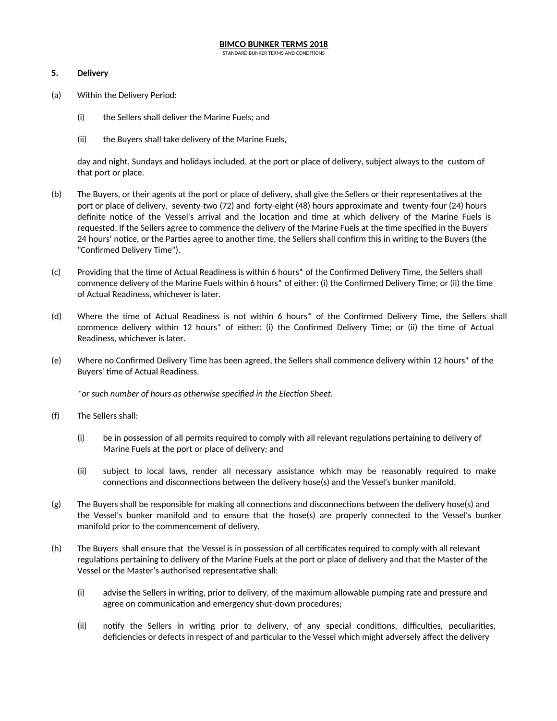#### **5. Delivery**

- (a) Within the Delivery Period:
	- (i) the Sellers shall deliver the Marine Fuels; and
	- (ii) the Buyers shall take delivery of the Marine Fuels,

day and night, Sundays and holidays included, at the port or place of delivery, subject always to the custom of that port or place.

- (b) The Buyers, or their agents at the port or place of delivery, shall give the Sellers or their representatives at the port or place of delivery, seventy-two (72) and forty-eight (48) hours approximate and twenty-four (24) hours definite notice of the Vessel's arrival and the location and time at which delivery of the Marine Fuels is requested. If the Sellers agree to commence the delivery of the Marine Fuels at the time specified in the Buyers' 24 hours' notice, or the Parties agree to another time, the Sellers shall confirm this in writing to the Buyers (the "Confirmed Delivery Time").
- (c) Providing that the time of Actual Readiness is within 6 hours\* of the Confirmed Delivery Time, the Sellers shall commence delivery of the Marine Fuels within 6 hours\* of either: (i) the Confirmed Delivery Time; or (ii) the time of Actual Readiness, whichever is later.
- (d) Where the time of Actual Readiness is not within 6 hours\* of the Confirmed Delivery Time, the Sellers shall commence delivery within 12 hours\* of either: (i) the Confirmed Delivery Time; or (ii) the time of Actual Readiness, whichever is later.
- (e) Where no Confirmed Delivery Time has been agreed, the Sellers shall commence delivery within 12 hours\* of the Buyers' time of Actual Readiness.

*\*or such number of hours as otherwise specified in the Election Sheet.* 

- (f) The Sellers shall:
	- (i) be in possession of all permits required to comply with all relevant regulations pertaining to delivery of Marine Fuels at the port or place of delivery; and
	- (ii) subject to local laws, render all necessary assistance which may be reasonably required to make connections and disconnections between the delivery hose(s) and the Vessel's bunker manifold.
- (g) The Buyers shall be responsible for making all connections and disconnections between the delivery hose(s) and the Vessel's bunker manifold and to ensure that the hose(s) are properly connected to the Vessel's bunker manifold prior to the commencement of delivery.
- (h) The Buyers shall ensure that the Vessel is in possession of all certificates required to comply with all relevant regulations pertaining to delivery of the Marine Fuels at the port or place of delivery and that the Master of the Vessel or the Master's authorised representative shall:
	- (i) advise the Sellers in writing, prior to delivery, of the maximum allowable pumping rate and pressure and agree on communication and emergency shut-down procedures;
	- (ii) notify the Sellers in writing prior to delivery, of any special conditions, difficulties, peculiarities, deficiencies or defects in respect of and particular to the Vessel which might adversely affect the delivery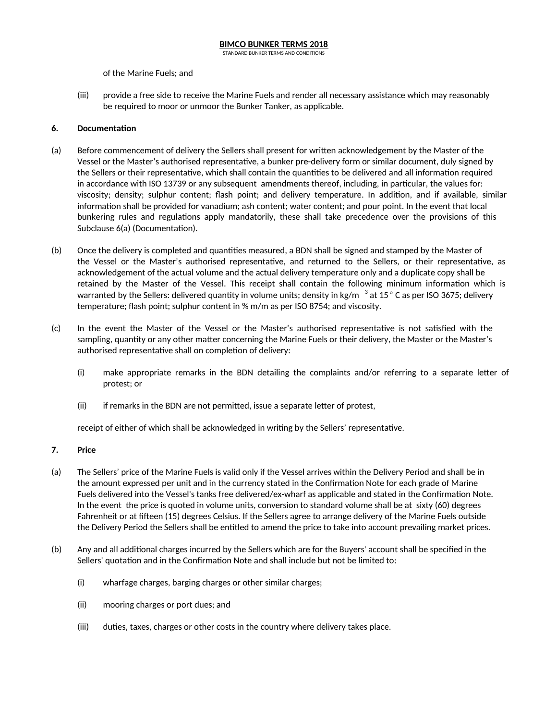STANDARD BUNKER TERMS AND CONDITIONS

of the Marine Fuels; and

(iii) provide a free side to receive the Marine Fuels and render all necessary assistance which may reasonably be required to moor or unmoor the Bunker Tanker, as applicable.

# **6. Documentation**

- (a) Before commencement of delivery the Sellers shall present for written acknowledgement by the Master of the Vessel or the Master's authorised representative, a bunker pre-delivery form or similar document, duly signed by the Sellers or their representative, which shall contain the quantities to be delivered and all information required in accordance with ISO 13739 or any subsequent amendments thereof, including, in particular, the values for: viscosity; density; sulphur content; flash point; and delivery temperature. In addition, and if available, similar information shall be provided for vanadium; ash content; water content; and pour point. In the event that local bunkering rules and regulations apply mandatorily, these shall take precedence over the provisions of this Subclause 6(a) (Documentation).
- (b) Once the delivery is completed and quantities measured, a BDN shall be signed and stamped by the Master of the Vessel or the Master's authorised representative, and returned to the Sellers, or their representative, as acknowledgement of the actual volume and the actual delivery temperature only and a duplicate copy shall be retained by the Master of the Vessel. This receipt shall contain the following minimum information which is warranted by the Sellers: delivered quantity in volume units; density in kg/m $^{-3}$  at 15  $^\circ$  C as per ISO 3675; delivery temperature; flash point; sulphur content in % m/m as per ISO 8754; and viscosity.
- (c) In the event the Master of the Vessel or the Master's authorised representative is not satisfied with the sampling, quantity or any other matter concerning the Marine Fuels or their delivery, the Master or the Master's authorised representative shall on completion of delivery:
	- (i) make appropriate remarks in the BDN detailing the complaints and/or referring to a separate letter of protest; or
	- (ii) if remarks in the BDN are not permitted, issue a separate letter of protest,

receipt of either of which shall be acknowledged in writing by the Sellers' representative.

#### **7. Price**

- (a) The Sellers' price of the Marine Fuels is valid only if the Vessel arrives within the Delivery Period and shall be in the amount expressed per unit and in the currency stated in the Confirmation Note for each grade of Marine Fuels delivered into the Vessel's tanks free delivered/ex-wharf as applicable and stated in the Confirmation Note. In the event the price is quoted in volume units, conversion to standard volume shall be at sixty (60) degrees Fahrenheit or at fifteen (15) degrees Celsius. If the Sellers agree to arrange delivery of the Marine Fuels outside the Delivery Period the Sellers shall be entitled to amend the price to take into account prevailing market prices.
- (b) Any and all additional charges incurred by the Sellers which are for the Buyers' account shall be specified in the Sellers' quotation and in the Confirmation Note and shall include but not be limited to:
	- (i) wharfage charges, barging charges or other similar charges;
	- (ii) mooring charges or port dues; and
	- (iii) duties, taxes, charges or other costs in the country where delivery takes place.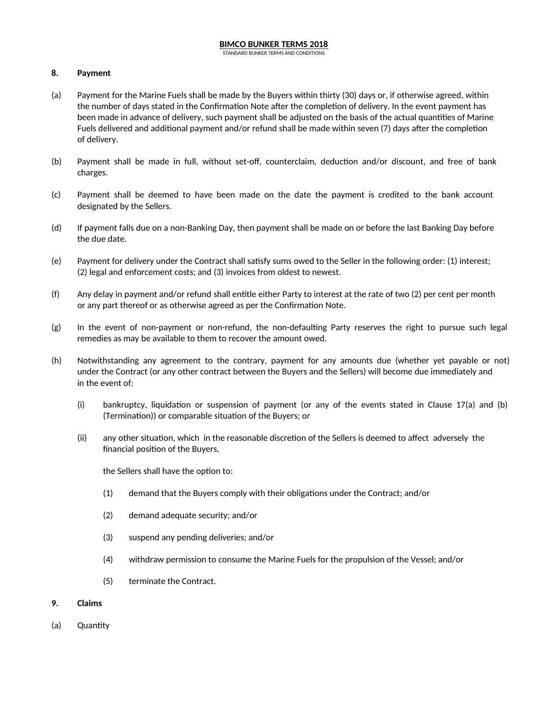STANDARD BUNKER TERMS AND CONDITIONS

# **8. Payment**

- (a) Payment for the Marine Fuels shall be made by the Buyers within thirty (30) days or, if otherwise agreed, within the number of days stated in the Confirmation Note after the completion of delivery. In the event payment has been made in advance of delivery, such payment shall be adjusted on the basis of the actual quantities of Marine Fuels delivered and additional payment and/or refund shall be made within seven (7) days after the completion of delivery.
- (b) Payment shall be made in full, without set-off, counterclaim, deduction and/or discount, and free of bank charges.
- (c) Payment shall be deemed to have been made on the date the payment is credited to the bank account designated by the Sellers.
- (d) If payment falls due on a non-Banking Day, then payment shall be made on or before the last Banking Day before the due date.
- (e) Payment for delivery under the Contract shall satisfy sums owed to the Seller in the following order: (1) interest; (2) legal and enforcement costs; and (3) invoices from oldest to newest.
- (f) Any delay in payment and/or refund shall entitle either Party to interest at the rate of two (2) per cent per month or any part thereof or as otherwise agreed as per the Confirmation Note.
- (g) In the event of non-payment or non-refund, the non-defaulting Party reserves the right to pursue such legal remedies as may be available to them to recover the amount owed.
- (h) Notwithstanding any agreement to the contrary, payment for any amounts due (whether yet payable or not) under the Contract (or any other contract between the Buyers and the Sellers) will become due immediately and in the event of:
	- (i) bankruptcy, liquidation or suspension of payment (or any of the events stated in Clause 17(a) and (b) (Termination)) or comparable situation of the Buyers; or
	- (ii) any other situation, which in the reasonable discretion of the Sellers is deemed to affect adversely the financial position of the Buyers,

the Sellers shall have the option to:

- (1) demand that the Buyers comply with their obligations under the Contract; and/or
- (2) demand adequate security; and/or
- (3) suspend any pending deliveries; and/or
- (4) withdraw permission to consume the Marine Fuels for the propulsion of the Vessel; and/or
- (5) terminate the Contract.
- **9. Claims**
- (a) Quantity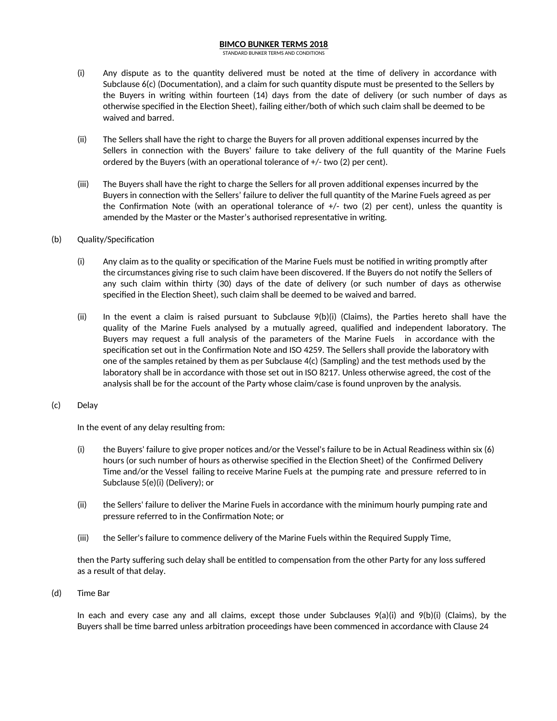#### **BIMCO BUNKER TERMS 2018** STANDARD BUNKER TERMS AND CONDITIONS

- (i) Any dispute as to the quantity delivered must be noted at the time of delivery in accordance with Subclause 6(c) (Documentation), and a claim for such quantity dispute must be presented to the Sellers by the Buyers in writing within fourteen (14) days from the date of delivery (or such number of days as otherwise specified in the Election Sheet), failing either/both of which such claim shall be deemed to be waived and barred.
- (ii) The Sellers shall have the right to charge the Buyers for all proven additional expenses incurred by the Sellers in connection with the Buyers' failure to take delivery of the full quantity of the Marine Fuels ordered by the Buyers (with an operational tolerance of +/- two (2) per cent).
- (iii) The Buyers shall have the right to charge the Sellers for all proven additional expenses incurred by the Buyers in connection with the Sellers' failure to deliver the full quantity of the Marine Fuels agreed as per the Confirmation Note (with an operational tolerance of +/- two (2) per cent), unless the quantity is amended by the Master or the Master's authorised representative in writing.

# (b) Quality/Specification

- (i) Any claim as to the quality or specification of the Marine Fuels must be notified in writing promptly after the circumstances giving rise to such claim have been discovered. If the Buyers do not notify the Sellers of any such claim within thirty (30) days of the date of delivery (or such number of days as otherwise specified in the Election Sheet), such claim shall be deemed to be waived and barred.
- (ii) In the event a claim is raised pursuant to Subclause 9(b)(i) (Claims), the Parties hereto shall have the quality of the Marine Fuels analysed by a mutually agreed, qualified and independent laboratory. The Buyers may request a full analysis of the parameters of the Marine Fuels in accordance with the specification set out in the Confirmation Note and ISO 4259. The Sellers shall provide the laboratory with one of the samples retained by them as per Subclause 4(c) (Sampling) and the test methods used by the laboratory shall be in accordance with those set out in ISO 8217. Unless otherwise agreed, the cost of the analysis shall be for the account of the Party whose claim/case is found unproven by the analysis.

#### (c) Delay

In the event of any delay resulting from:

- (i) the Buyers' failure to give proper notices and/or the Vessel's failure to be in Actual Readiness within six (6) hours (or such number of hours as otherwise specified in the Election Sheet) of the Confirmed Delivery Time and/or the Vessel failing to receive Marine Fuels at the pumping rate and pressure referred to in Subclause 5(e)(i) (Delivery); or
- (ii) the Sellers' failure to deliver the Marine Fuels in accordance with the minimum hourly pumping rate and pressure referred to in the Confirmation Note; or
- (iii) the Seller's failure to commence delivery of the Marine Fuels within the Required Supply Time,

then the Party suffering such delay shall be entitled to compensation from the other Party for any loss suffered as a result of that delay.

(d) Time Bar

In each and every case any and all claims, except those under Subclauses 9(a)(i) and 9(b)(i) (Claims), by the Buyers shall be time barred unless arbitration proceedings have been commenced in accordance with Clause 24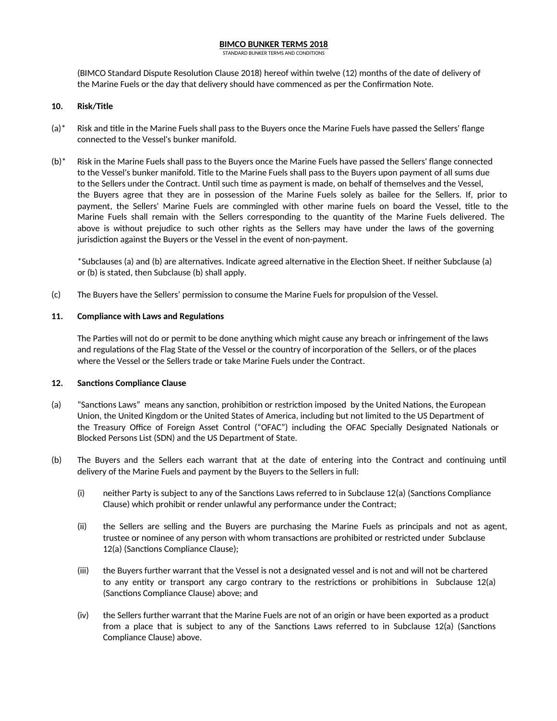STANDARD BUNKER TERMS AND CONDITIONS

(BIMCO Standard Dispute Resolution Clause 2018) hereof within twelve (12) months of the date of delivery of the Marine Fuels or the day that delivery should have commenced as per the Confirmation Note.

#### **10. Risk/Title**

- (a)\* Risk and title in the Marine Fuels shall pass to the Buyers once the Marine Fuels have passed the Sellers' flange connected to the Vessel's bunker manifold.
- (b)\* Risk in the Marine Fuels shall pass to the Buyers once the Marine Fuels have passed the Sellers' flange connected to the Vessel's bunker manifold. Title to the Marine Fuels shall pass to the Buyers upon payment of all sums due to the Sellers under the Contract. Until such time as payment is made, on behalf of themselves and the Vessel, the Buyers agree that they are in possession of the Marine Fuels solely as bailee for the Sellers. If, prior to payment, the Sellers' Marine Fuels are commingled with other marine fuels on board the Vessel, title to the Marine Fuels shall remain with the Sellers corresponding to the quantity of the Marine Fuels delivered. The above is without prejudice to such other rights as the Sellers may have under the laws of the governing jurisdiction against the Buyers or the Vessel in the event of non-payment.

\*Subclauses (a) and (b) are alternatives. Indicate agreed alternative in the Election Sheet. If neither Subclause (a) or (b) is stated, then Subclause (b) shall apply.

(c) The Buyers have the Sellers' permission to consume the Marine Fuels for propulsion of the Vessel.

# **11. Compliance with Laws and Regulations**

The Parties will not do or permit to be done anything which might cause any breach or infringement of the laws and regulations of the Flag State of the Vessel or the country of incorporation of the Sellers, or of the places where the Vessel or the Sellers trade or take Marine Fuels under the Contract.

# **12. Sanctions Compliance Clause**

- (a) "Sanctions Laws" means any sanction, prohibition or restriction imposed by the United Nations, the European Union, the United Kingdom or the United States of America, including but not limited to the US Department of the Treasury Office of Foreign Asset Control ("OFAC") including the OFAC Specially Designated Nationals or Blocked Persons List (SDN) and the US Department of State.
- (b) The Buyers and the Sellers each warrant that at the date of entering into the Contract and continuing until delivery of the Marine Fuels and payment by the Buyers to the Sellers in full:
	- (i) neither Party is subject to any of the Sanctions Laws referred to in Subclause 12(a) (Sanctions Compliance Clause) which prohibit or render unlawful any performance under the Contract;
	- (ii) the Sellers are selling and the Buyers are purchasing the Marine Fuels as principals and not as agent, trustee or nominee of any person with whom transactions are prohibited or restricted under Subclause 12(a) (Sanctions Compliance Clause);
	- (iii) the Buyers further warrant that the Vessel is not a designated vessel and is not and will not be chartered to any entity or transport any cargo contrary to the restrictions or prohibitions in Subclause 12(a) (Sanctions Compliance Clause) above; and
	- (iv) the Sellers further warrant that the Marine Fuels are not of an origin or have been exported as a product from a place that is subject to any of the Sanctions Laws referred to in Subclause 12(a) (Sanctions Compliance Clause) above.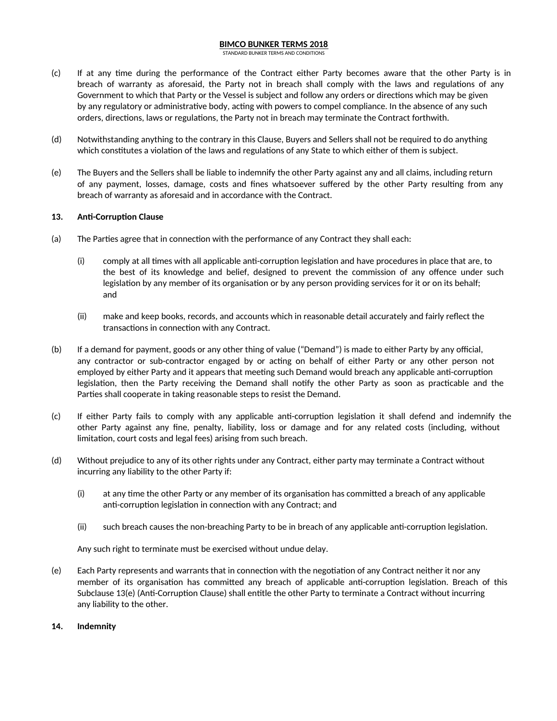STANDARD BUNKER TERMS AND CONDITIONS

- (c) If at any time during the performance of the Contract either Party becomes aware that the other Party is in breach of warranty as aforesaid, the Party not in breach shall comply with the laws and regulations of any Government to which that Party or the Vessel is subject and follow any orders or directions which may be given by any regulatory or administrative body, acting with powers to compel compliance. In the absence of any such orders, directions, laws or regulations, the Party not in breach may terminate the Contract forthwith.
- (d) Notwithstanding anything to the contrary in this Clause, Buyers and Sellers shall not be required to do anything which constitutes a violation of the laws and regulations of any State to which either of them is subject.
- (e) The Buyers and the Sellers shall be liable to indemnify the other Party against any and all claims, including return of any payment, losses, damage, costs and fines whatsoever suffered by the other Party resulting from any breach of warranty as aforesaid and in accordance with the Contract.

# **13. Anti-Corruption Clause**

- (a) The Parties agree that in connection with the performance of any Contract they shall each:
	- (i) comply at all times with all applicable anti-corruption legislation and have procedures in place that are, to the best of its knowledge and belief, designed to prevent the commission of any offence under such legislation by any member of its organisation or by any person providing services for it or on its behalf; and
	- (ii) make and keep books, records, and accounts which in reasonable detail accurately and fairly reflect the transactions in connection with any Contract.
- (b) If a demand for payment, goods or any other thing of value ("Demand") is made to either Party by any official, any contractor or sub-contractor engaged by or acting on behalf of either Party or any other person not employed by either Party and it appears that meeting such Demand would breach any applicable anti-corruption legislation, then the Party receiving the Demand shall notify the other Party as soon as practicable and the Parties shall cooperate in taking reasonable steps to resist the Demand.
- (c) If either Party fails to comply with any applicable anti-corruption legislation it shall defend and indemnify the other Party against any fine, penalty, liability, loss or damage and for any related costs (including, without limitation, court costs and legal fees) arising from such breach.
- (d) Without prejudice to any of its other rights under any Contract, either party may terminate a Contract without incurring any liability to the other Party if:
	- (i) at any time the other Party or any member of its organisation has committed a breach of any applicable anti-corruption legislation in connection with any Contract; and
	- (ii) such breach causes the non-breaching Party to be in breach of any applicable anti-corruption legislation.

Any such right to terminate must be exercised without undue delay.

- (e) Each Party represents and warrants that in connection with the negotiation of any Contract neither it nor any member of its organisation has committed any breach of applicable anti-corruption legislation. Breach of this Subclause 13(e) (Anti-Corruption Clause) shall entitle the other Party to terminate a Contract without incurring any liability to the other.
- **14. Indemnity**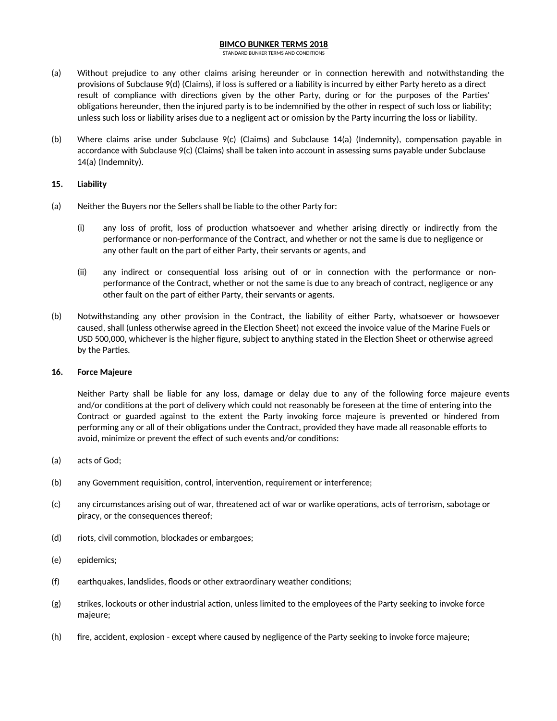STANDARD BUNKER TERMS AND CONDITIONS

- (a) Without prejudice to any other claims arising hereunder or in connection herewith and notwithstanding the provisions of Subclause 9(d) (Claims), if loss is suffered or a liability is incurred by either Party hereto as a direct result of compliance with directions given by the other Party, during or for the purposes of the Parties' obligations hereunder, then the injured party is to be indemnified by the other in respect of such loss or liability; unless such loss or liability arises due to a negligent act or omission by the Party incurring the loss or liability.
- (b) Where claims arise under Subclause 9(c) (Claims) and Subclause 14(a) (Indemnity), compensation payable in accordance with Subclause 9(c) (Claims) shall be taken into account in assessing sums payable under Subclause 14(a) (Indemnity).

#### **15. Liability**

- (a) Neither the Buyers nor the Sellers shall be liable to the other Party for:
	- (i) any loss of profit, loss of production whatsoever and whether arising directly or indirectly from the performance or non-performance of the Contract, and whether or not the same is due to negligence or any other fault on the part of either Party, their servants or agents, and
	- (ii) any indirect or consequential loss arising out of or in connection with the performance or nonperformance of the Contract, whether or not the same is due to any breach of contract, negligence or any other fault on the part of either Party, their servants or agents.
- (b) Notwithstanding any other provision in the Contract, the liability of either Party, whatsoever or howsoever caused, shall (unless otherwise agreed in the Election Sheet) not exceed the invoice value of the Marine Fuels or USD 500,000, whichever is the higher figure, subject to anything stated in the Election Sheet or otherwise agreed by the Parties.

#### **16. Force Majeure**

Neither Party shall be liable for any loss, damage or delay due to any of the following force majeure events and/or conditions at the port of delivery which could not reasonably be foreseen at the time of entering into the Contract or guarded against to the extent the Party invoking force majeure is prevented or hindered from performing any or all of their obligations under the Contract, provided they have made all reasonable efforts to avoid, minimize or prevent the effect of such events and/or conditions:

- (a) acts of God;
- (b) any Government requisition, control, intervention, requirement or interference;
- (c) any circumstances arising out of war, threatened act of war or warlike operations, acts of terrorism, sabotage or piracy, or the consequences thereof;
- (d) riots, civil commotion, blockades or embargoes;
- (e) epidemics;
- (f) earthquakes, landslides, floods or other extraordinary weather conditions;
- (g) strikes, lockouts or other industrial action, unless limited to the employees of the Party seeking to invoke force majeure;
- (h) fire, accident, explosion except where caused by negligence of the Party seeking to invoke force majeure;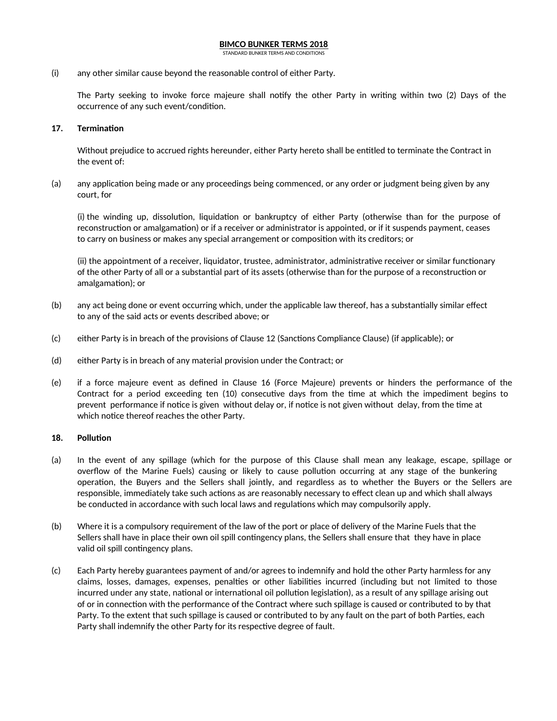STANDARD BUNKER TERMS AND CONDITIONS

(i) any other similar cause beyond the reasonable control of either Party.

The Party seeking to invoke force majeure shall notify the other Party in writing within two (2) Days of the occurrence of any such event/condition.

#### **17. Termination**

Without prejudice to accrued rights hereunder, either Party hereto shall be entitled to terminate the Contract in the event of:

(a) any application being made or any proceedings being commenced, or any order or judgment being given by any court, for

(i) the winding up, dissolution, liquidation or bankruptcy of either Party (otherwise than for the purpose of reconstruction or amalgamation) or if a receiver or administrator is appointed, or if it suspends payment, ceases to carry on business or makes any special arrangement or composition with its creditors; or

(ii) the appointment of a receiver, liquidator, trustee, administrator, administrative receiver or similar functionary of the other Party of all or a substantial part of its assets (otherwise than for the purpose of a reconstruction or amalgamation); or

- (b) any act being done or event occurring which, under the applicable law thereof, has a substantially similar effect to any of the said acts or events described above; or
- (c) either Party is in breach of the provisions of Clause 12 (Sanctions Compliance Clause) (if applicable); or
- (d) either Party is in breach of any material provision under the Contract; or
- (e) if a force majeure event as defined in Clause 16 (Force Majeure) prevents or hinders the performance of the Contract for a period exceeding ten (10) consecutive days from the time at which the impediment begins to prevent performance if notice is given without delay or, if notice is not given without delay, from the time at which notice thereof reaches the other Party.

#### **18. Pollution**

- (a) In the event of any spillage (which for the purpose of this Clause shall mean any leakage, escape, spillage or overflow of the Marine Fuels) causing or likely to cause pollution occurring at any stage of the bunkering operation, the Buyers and the Sellers shall jointly, and regardless as to whether the Buyers or the Sellers are responsible, immediately take such actions as are reasonably necessary to effect clean up and which shall always be conducted in accordance with such local laws and regulations which may compulsorily apply.
- (b) Where it is a compulsory requirement of the law of the port or place of delivery of the Marine Fuels that the Sellers shall have in place their own oil spill contingency plans, the Sellers shall ensure that they have in place valid oil spill contingency plans.
- (c) Each Party hereby guarantees payment of and/or agrees to indemnify and hold the other Party harmless for any claims, losses, damages, expenses, penalties or other liabilities incurred (including but not limited to those incurred under any state, national or international oil pollution legislation), as a result of any spillage arising out of or in connection with the performance of the Contract where such spillage is caused or contributed to by that Party. To the extent that such spillage is caused or contributed to by any fault on the part of both Parties, each Party shall indemnify the other Party for its respective degree of fault.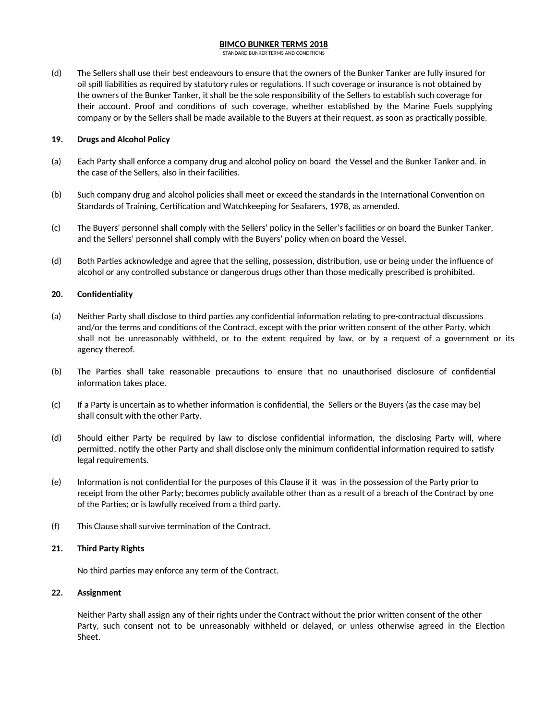STANDARD BUNKER TERMS AND CONDITIONS

(d) The Sellers shall use their best endeavours to ensure that the owners of the Bunker Tanker are fully insured for oil spill liabilities as required by statutory rules or regulations. If such coverage or insurance is not obtained by the owners of the Bunker Tanker, it shall be the sole responsibility of the Sellers to establish such coverage for their account. Proof and conditions of such coverage, whether established by the Marine Fuels supplying company or by the Sellers shall be made available to the Buyers at their request, as soon as practically possible.

# **19. Drugs and Alcohol Policy**

- (a) Each Party shall enforce a company drug and alcohol policy on board the Vessel and the Bunker Tanker and, in the case of the Sellers, also in their facilities.
- (b) Such company drug and alcohol policies shall meet or exceed the standards in the International Convention on Standards of Training, Certification and Watchkeeping for Seafarers, 1978, as amended.
- (c) The Buyers' personnel shall comply with the Sellers' policy in the Seller's facilities or on board the Bunker Tanker, and the Sellers' personnel shall comply with the Buyers' policy when on board the Vessel.
- (d) Both Parties acknowledge and agree that the selling, possession, distribution, use or being under the influence of alcohol or any controlled substance or dangerous drugs other than those medically prescribed is prohibited.

# **20. Confidentiality**

- (a) Neither Party shall disclose to third parties any confidential information relating to pre-contractual discussions and/or the terms and conditions of the Contract, except with the prior written consent of the other Party, which shall not be unreasonably withheld, or to the extent required by law, or by a request of a government or its agency thereof.
- (b) The Parties shall take reasonable precautions to ensure that no unauthorised disclosure of confidential information takes place.
- (c) If a Party is uncertain as to whether information is confidential, the Sellers or the Buyers (as the case may be) shall consult with the other Party.
- (d) Should either Party be required by law to disclose confidential information, the disclosing Party will, where permitted, notify the other Party and shall disclose only the minimum confidential information required to satisfy legal requirements.
- (e) Information is not confidential for the purposes of this Clause if it was in the possession of the Party prior to receipt from the other Party; becomes publicly available other than as a result of a breach of the Contract by one of the Parties; or is lawfully received from a third party.
- (f) This Clause shall survive termination of the Contract.

#### **21. Third Party Rights**

No third parties may enforce any term of the Contract.

#### **22. Assignment**

Neither Party shall assign any of their rights under the Contract without the prior written consent of the other Party, such consent not to be unreasonably withheld or delayed, or unless otherwise agreed in the Election Sheet.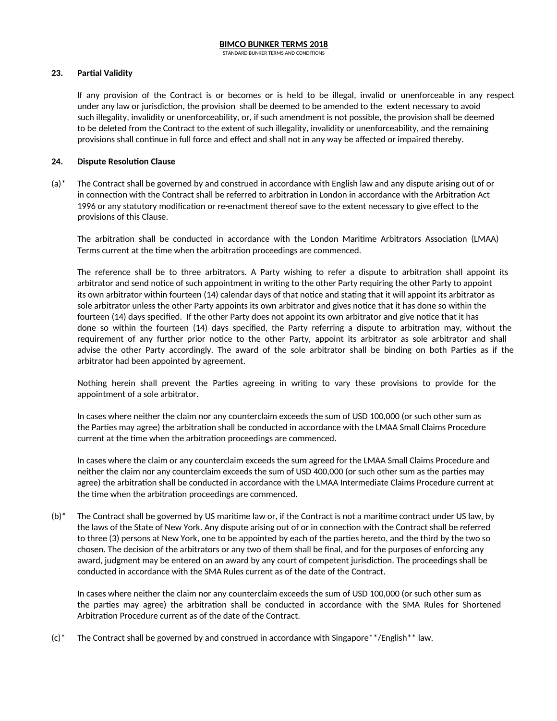#### STANDARD BUNKER TERMS AND CONDITIONS

# **23. Partial Validity**

If any provision of the Contract is or becomes or is held to be illegal, invalid or unenforceable in any respect under any law or jurisdiction, the provision shall be deemed to be amended to the extent necessary to avoid such illegality, invalidity or unenforceability, or, if such amendment is not possible, the provision shall be deemed to be deleted from the Contract to the extent of such illegality, invalidity or unenforceability, and the remaining provisions shall continue in full force and effect and shall not in any way be affected or impaired thereby.

# **24. Dispute Resolution Clause**

 $(a)^*$  The Contract shall be governed by and construed in accordance with English law and any dispute arising out of or in connection with the Contract shall be referred to arbitration in London in accordance with the Arbitration Act 1996 or any statutory modification or re-enactment thereof save to the extent necessary to give effect to the provisions of this Clause.

The arbitration shall be conducted in accordance with the London Maritime Arbitrators Association (LMAA) Terms current at the time when the arbitration proceedings are commenced.

The reference shall be to three arbitrators. A Party wishing to refer a dispute to arbitration shall appoint its arbitrator and send notice of such appointment in writing to the other Party requiring the other Party to appoint its own arbitrator within fourteen (14) calendar days of that notice and stating that it will appoint its arbitrator as sole arbitrator unless the other Party appoints its own arbitrator and gives notice that it has done so within the fourteen (14) days specified. If the other Party does not appoint its own arbitrator and give notice that it has done so within the fourteen (14) days specified, the Party referring a dispute to arbitration may, without the requirement of any further prior notice to the other Party, appoint its arbitrator as sole arbitrator and shall advise the other Party accordingly. The award of the sole arbitrator shall be binding on both Parties as if the arbitrator had been appointed by agreement.

Nothing herein shall prevent the Parties agreeing in writing to vary these provisions to provide for the appointment of a sole arbitrator.

In cases where neither the claim nor any counterclaim exceeds the sum of USD 100,000 (or such other sum as the Parties may agree) the arbitration shall be conducted in accordance with the LMAA Small Claims Procedure current at the time when the arbitration proceedings are commenced.

In cases where the claim or any counterclaim exceeds the sum agreed for the LMAA Small Claims Procedure and neither the claim nor any counterclaim exceeds the sum of USD 400,000 (or such other sum as the parties may agree) the arbitration shall be conducted in accordance with the LMAA Intermediate Claims Procedure current at the time when the arbitration proceedings are commenced.

(b)\* The Contract shall be governed by US maritime law or, if the Contract is not a maritime contract under US law, by the laws of the State of New York. Any dispute arising out of or in connection with the Contract shall be referred to three (3) persons at New York, one to be appointed by each of the parties hereto, and the third by the two so chosen. The decision of the arbitrators or any two of them shall be final, and for the purposes of enforcing any award, judgment may be entered on an award by any court of competent jurisdiction. The proceedings shall be conducted in accordance with the SMA Rules current as of the date of the Contract.

In cases where neither the claim nor any counterclaim exceeds the sum of USD 100,000 (or such other sum as the parties may agree) the arbitration shall be conducted in accordance with the SMA Rules for Shortened Arbitration Procedure current as of the date of the Contract.

 $(c)^*$  The Contract shall be governed by and construed in accordance with Singapore\*\*/English\*\* law.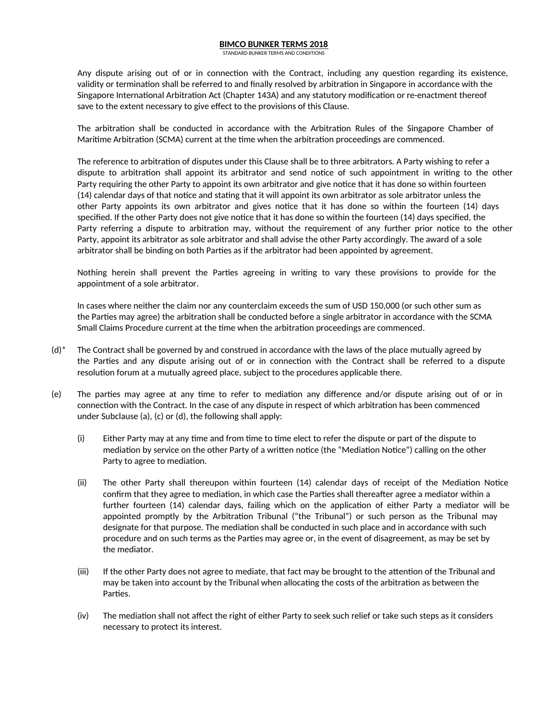STANDARD BUNKER TERMS AND CONDITIONS

Any dispute arising out of or in connection with the Contract, including any question regarding its existence, validity or termination shall be referred to and finally resolved by arbitration in Singapore in accordance with the Singapore International Arbitration Act (Chapter 143A) and any statutory modification or re-enactment thereof save to the extent necessary to give effect to the provisions of this Clause.

The arbitration shall be conducted in accordance with the Arbitration Rules of the Singapore Chamber of Maritime Arbitration (SCMA) current at the time when the arbitration proceedings are commenced.

The reference to arbitration of disputes under this Clause shall be to three arbitrators. A Party wishing to refer a dispute to arbitration shall appoint its arbitrator and send notice of such appointment in writing to the other Party requiring the other Party to appoint its own arbitrator and give notice that it has done so within fourteen (14) calendar days of that notice and stating that it will appoint its own arbitrator as sole arbitrator unless the other Party appoints its own arbitrator and gives notice that it has done so within the fourteen (14) days specified. If the other Party does not give notice that it has done so within the fourteen (14) days specified, the Party referring a dispute to arbitration may, without the requirement of any further prior notice to the other Party, appoint its arbitrator as sole arbitrator and shall advise the other Party accordingly. The award of a sole arbitrator shall be binding on both Parties as if the arbitrator had been appointed by agreement.

Nothing herein shall prevent the Parties agreeing in writing to vary these provisions to provide for the appointment of a sole arbitrator.

In cases where neither the claim nor any counterclaim exceeds the sum of USD 150,000 (or such other sum as the Parties may agree) the arbitration shall be conducted before a single arbitrator in accordance with the SCMA Small Claims Procedure current at the time when the arbitration proceedings are commenced.

- $(d)^*$  The Contract shall be governed by and construed in accordance with the laws of the place mutually agreed by the Parties and any dispute arising out of or in connection with the Contract shall be referred to a dispute resolution forum at a mutually agreed place, subject to the procedures applicable there.
- (e) The parties may agree at any time to refer to mediation any difference and/or dispute arising out of or in connection with the Contract. In the case of any dispute in respect of which arbitration has been commenced under Subclause (a), (c) or (d), the following shall apply:
	- (i) Either Party may at any time and from time to time elect to refer the dispute or part of the dispute to mediation by service on the other Party of a written notice (the "Mediation Notice") calling on the other Party to agree to mediation.
	- (ii) The other Party shall thereupon within fourteen (14) calendar days of receipt of the Mediation Notice confirm that they agree to mediation, in which case the Parties shall thereafter agree a mediator within a further fourteen (14) calendar days, failing which on the application of either Party a mediator will be appointed promptly by the Arbitration Tribunal ("the Tribunal") or such person as the Tribunal may designate for that purpose. The mediation shall be conducted in such place and in accordance with such procedure and on such terms as the Parties may agree or, in the event of disagreement, as may be set by the mediator.
	- (iii) If the other Party does not agree to mediate, that fact may be brought to the attention of the Tribunal and may be taken into account by the Tribunal when allocating the costs of the arbitration as between the Parties.
	- (iv) The mediation shall not affect the right of either Party to seek such relief or take such steps as it considers necessary to protect its interest.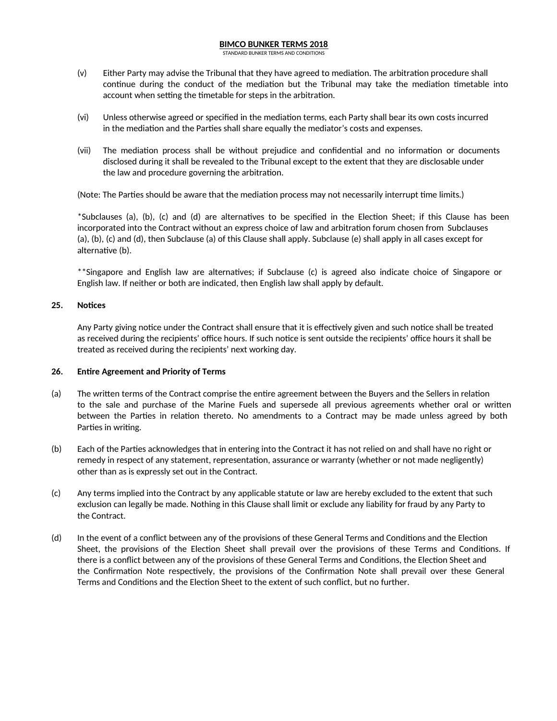- STANDARD BUNKER TERMS AND CONDITIONS
- (v) Either Party may advise the Tribunal that they have agreed to mediation. The arbitration procedure shall continue during the conduct of the mediation but the Tribunal may take the mediation timetable into account when setting the timetable for steps in the arbitration.
- (vi) Unless otherwise agreed or specified in the mediation terms, each Party shall bear its own costs incurred in the mediation and the Parties shall share equally the mediator's costs and expenses.
- (vii) The mediation process shall be without prejudice and confidential and no information or documents disclosed during it shall be revealed to the Tribunal except to the extent that they are disclosable under the law and procedure governing the arbitration.

(Note: The Parties should be aware that the mediation process may not necessarily interrupt time limits.)

\*Subclauses (a), (b), (c) and (d) are alternatives to be specified in the Election Sheet; if this Clause has been incorporated into the Contract without an express choice of law and arbitration forum chosen from Subclauses (a), (b), (c) and (d), then Subclause (a) of this Clause shall apply. Subclause (e) shall apply in all cases except for alternative (b).

\*\*Singapore and English law are alternatives; if Subclause (c) is agreed also indicate choice of Singapore or English law. If neither or both are indicated, then English law shall apply by default.

# **25. Notices**

Any Party giving notice under the Contract shall ensure that it is effectively given and such notice shall be treated as received during the recipients' office hours. If such notice is sent outside the recipients' office hours it shall be treated as received during the recipients' next working day.

# **26. Entire Agreement and Priority of Terms**

- (a) The written terms of the Contract comprise the entire agreement between the Buyers and the Sellers in relation to the sale and purchase of the Marine Fuels and supersede all previous agreements whether oral or written between the Parties in relation thereto. No amendments to a Contract may be made unless agreed by both Parties in writing.
- (b) Each of the Parties acknowledges that in entering into the Contract it has not relied on and shall have no right or remedy in respect of any statement, representation, assurance or warranty (whether or not made negligently) other than as is expressly set out in the Contract.
- (c) Any terms implied into the Contract by any applicable statute or law are hereby excluded to the extent that such exclusion can legally be made. Nothing in this Clause shall limit or exclude any liability for fraud by any Party to the Contract.
- (d) In the event of a conflict between any of the provisions of these General Terms and Conditions and the Election Sheet, the provisions of the Election Sheet shall prevail over the provisions of these Terms and Conditions. If there is a conflict between any of the provisions of these General Terms and Conditions, the Election Sheet and the Confirmation Note respectively, the provisions of the Confirmation Note shall prevail over these General Terms and Conditions and the Election Sheet to the extent of such conflict, but no further.